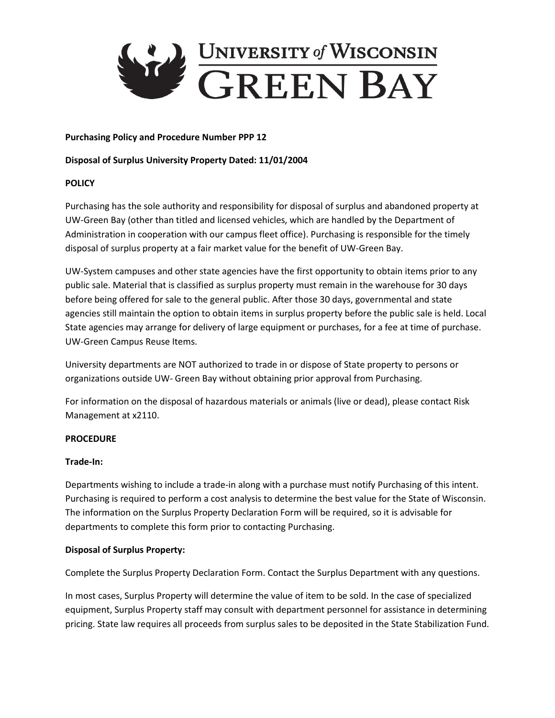

# **Purchasing Policy and Procedure Number PPP 12**

## **Disposal of Surplus University Property Dated: 11/01/2004**

# **POLICY**

Purchasing has the sole authority and responsibility for disposal of surplus and abandoned property at UW-Green Bay (other than titled and licensed vehicles, which are handled by the Department of Administration in cooperation with our campus fleet office). Purchasing is responsible for the timely disposal of surplus property at a fair market value for the benefit of UW-Green Bay.

UW-System campuses and other state agencies have the first opportunity to obtain items prior to any public sale. Material that is classified as surplus property must remain in the warehouse for 30 days before being offered for sale to the general public. After those 30 days, governmental and state agencies still maintain the option to obtain items in surplus property before the public sale is held. Local State agencies may arrange for delivery of large equipment or purchases, for a fee at time of purchase. UW-Green Campus Reuse Items.

University departments are NOT authorized to trade in or dispose of State property to persons or organizations outside UW- Green Bay without obtaining prior approval from Purchasing.

For information on the disposal of hazardous materials or animals (live or dead), please contact Risk Management at x2110.

### **PROCEDURE**

### **Trade-In:**

Departments wishing to include a trade-in along with a purchase must notify Purchasing of this intent. Purchasing is required to perform a cost analysis to determine the best value for the State of Wisconsin. The information on the Surplus Property Declaration Form will be required, so it is advisable for departments to complete this form prior to contacting Purchasing.

### **Disposal of Surplus Property:**

Complete the Surplus Property Declaration Form. Contact the Surplus Department with any questions.

In most cases, Surplus Property will determine the value of item to be sold. In the case of specialized equipment, Surplus Property staff may consult with department personnel for assistance in determining pricing. State law requires all proceeds from surplus sales to be deposited in the State Stabilization Fund.